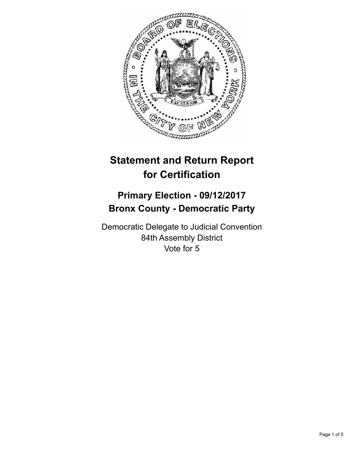

# **Statement and Return Report for Certification**

# **Primary Election - 09/12/2017 Bronx County - Democratic Party**

Democratic Delegate to Judicial Convention 84th Assembly District Vote for 5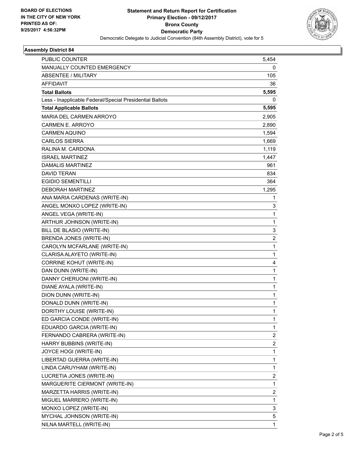

## **Assembly District 84**

| <b>PUBLIC COUNTER</b>                                    | 5,454                   |
|----------------------------------------------------------|-------------------------|
| MANUALLY COUNTED EMERGENCY                               | 0                       |
| ABSENTEE / MILITARY                                      | 105                     |
| <b>AFFIDAVIT</b>                                         | 36                      |
| <b>Total Ballots</b>                                     | 5,595                   |
| Less - Inapplicable Federal/Special Presidential Ballots | 0                       |
| <b>Total Applicable Ballots</b>                          | 5,595                   |
| MARIA DEL CARMEN ARROYO                                  | 2,905                   |
| CARMEN E. ARROYO                                         | 2,890                   |
| <b>CARMEN AQUINO</b>                                     | 1,594                   |
| CARLOS SIERRA                                            | 1,669                   |
| RALINA M. CARDONA                                        | 1,119                   |
| <b>ISRAEL MARTINEZ</b>                                   | 1,447                   |
| DAMALIS MARTINEZ                                         | 961                     |
| DAVID TERAN                                              | 834                     |
| <b>EGIDIO SEMENTILLI</b>                                 | 364                     |
| <b>DEBORAH MARTINEZ</b>                                  | 1,295                   |
| ANA MARIA CARDENAS (WRITE-IN)                            | 1                       |
| ANGEL MONXO LOPEZ (WRITE-IN)                             | 3                       |
| ANGEL VEGA (WRITE-IN)                                    | 1                       |
| ARTHUR JOHNSON (WRITE-IN)                                | 1                       |
| BILL DE BLASIO (WRITE-IN)                                | 3                       |
| BRENDA JONES (WRITE-IN)                                  | 2                       |
| CAROLYN MCFARLANE (WRITE-IN)                             | 1                       |
| CLARISA ALAYETO (WRITE-IN)                               | 1                       |
| <b>CORRINE KOHUT (WRITE-IN)</b>                          | 4                       |
| DAN DUNN (WRITE-IN)                                      | 1                       |
| DANNY CHERUONI (WRITE-IN)                                | 1                       |
| DIANE AYALA (WRITE-IN)                                   | $\mathbf{1}$            |
| DION DUNN (WRITE-IN)                                     | 1                       |
| DONALD DUNN (WRITE-IN)                                   | 1                       |
| DORITHY LOUISE (WRITE-IN)                                | 1                       |
| ED GARCIA CONDE (WRITE-IN)                               | 1                       |
| EDUARDO GARCIA (WRITE-IN)                                | 1                       |
| FERNANDO CABRERA (WRITE-IN)                              | $\overline{\mathbf{c}}$ |
| HARRY BUBBINS (WRITE-IN)                                 | 2                       |
| JOYCE HOGI (WRITE-IN)                                    | 1                       |
| LIBERTAD GUERRA (WRITE-IN)                               | 1                       |
| LINDA CARUYHAM (WRITE-IN)                                | 1                       |
| LUCRETIA JONES (WRITE-IN)                                | $\overline{\mathbf{c}}$ |
| MARGUERITE CIERMONT (WRITE-IN)                           | 1                       |
| MARZETTA HARRIS (WRITE-IN)                               | 2                       |
| MIGUEL MARRERO (WRITE-IN)                                | 1                       |
| MONXO LOPEZ (WRITE-IN)                                   | 3                       |
| MYCHAL JOHNSON (WRITE-IN)                                | 5                       |
| NILNA MARTELL (WRITE-IN)                                 | 1                       |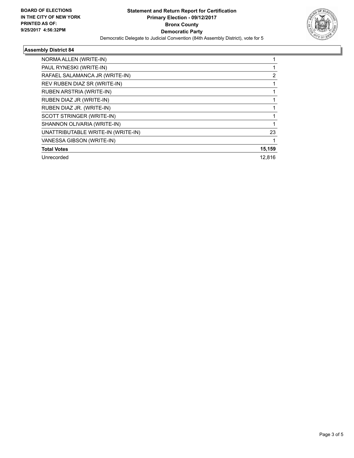

## **Assembly District 84**

| NORMA ALLEN (WRITE-IN)             |        |
|------------------------------------|--------|
| PAUL RYNESKI (WRITE-IN)            |        |
| RAFAEL SALAMANCA JR (WRITE-IN)     | 2      |
| REV RUBEN DIAZ SR (WRITE-IN)       |        |
| <b>RUBEN ARSTRIA (WRITE-IN)</b>    |        |
| RUBEN DIAZ JR (WRITE-IN)           |        |
| RUBEN DIAZ JR. (WRITE-IN)          |        |
| SCOTT STRINGER (WRITE-IN)          |        |
| SHANNON OLIVARIA (WRITE-IN)        |        |
| UNATTRIBUTABLE WRITE-IN (WRITE-IN) | 23     |
| VANESSA GIBSON (WRITE-IN)          |        |
| <b>Total Votes</b>                 | 15,159 |
| Unrecorded                         | 12.816 |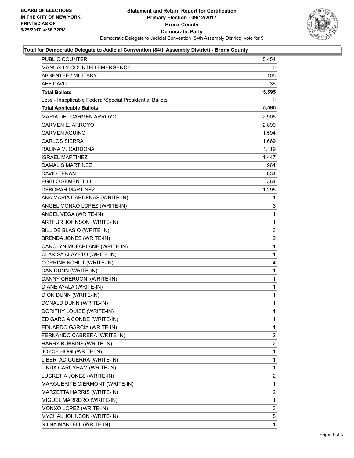

#### **Total for Democratic Delegate to Judicial Convention (84th Assembly District) - Bronx County**

| <b>PUBLIC COUNTER</b>                                    | 5,454          |
|----------------------------------------------------------|----------------|
| MANUALLY COUNTED EMERGENCY                               | 0              |
| <b>ABSENTEE / MILITARY</b>                               | 105            |
| <b>AFFIDAVIT</b>                                         | 36             |
| <b>Total Ballots</b>                                     | 5,595          |
| Less - Inapplicable Federal/Special Presidential Ballots | 0              |
| <b>Total Applicable Ballots</b>                          | 5,595          |
| MARIA DEL CARMEN ARROYO                                  | 2.905          |
| <b>CARMEN E. ARROYO</b>                                  | 2,890          |
| <b>CARMEN AQUINO</b>                                     | 1,594          |
| <b>CARLOS SIERRA</b>                                     | 1,669          |
| RALINA M. CARDONA                                        | 1,119          |
| <b>ISRAEL MARTINEZ</b>                                   | 1,447          |
| DAMALIS MARTINEZ                                         | 961            |
| <b>DAVID TERAN</b>                                       | 834            |
| <b>EGIDIO SEMENTILLI</b>                                 | 364            |
| <b>DEBORAH MARTINEZ</b>                                  | 1,295          |
| ANA MARIA CARDENAS (WRITE-IN)                            | 1              |
| ANGEL MONXO LOPEZ (WRITE-IN)                             | 3              |
| ANGEL VEGA (WRITE-IN)                                    | 1              |
| ARTHUR JOHNSON (WRITE-IN)                                | $\mathbf{1}$   |
| BILL DE BLASIO (WRITE-IN)                                | 3              |
| BRENDA JONES (WRITE-IN)                                  | $\overline{2}$ |
| CAROLYN MCFARLANE (WRITE-IN)                             | 1              |
| CLARISA ALAYETO (WRITE-IN)                               | $\mathbf{1}$   |
| CORRINE KOHUT (WRITE-IN)                                 | 4              |
| DAN DUNN (WRITE-IN)                                      | 1              |
| DANNY CHERUONI (WRITE-IN)                                | $\mathbf{1}$   |
| DIANE AYALA (WRITE-IN)                                   | 1              |
| DION DUNN (WRITE-IN)                                     | 1              |
| DONALD DUNN (WRITE-IN)                                   | $\mathbf{1}$   |
| DORITHY LOUISE (WRITE-IN)                                | $\mathbf{1}$   |
| ED GARCIA CONDE (WRITE-IN)                               | 1              |
| EDUARDO GARCIA (WRITE-IN)                                | $\mathbf{1}$   |
| FERNANDO CABRERA (WRITE-IN)                              | 2              |
| HARRY BUBBINS (WRITE-IN)                                 | $\overline{2}$ |
| JOYCE HOGI (WRITE-IN)                                    | 1              |
| LIBERTAD GUERRA (WRITE-IN)                               | 1              |
| LINDA CARUYHAM (WRITE-IN)                                | 1              |
| LUCRETIA JONES (WRITE-IN)                                | $\mathbf{2}$   |
| MARGUERITE CIERMONT (WRITE-IN)                           | 1              |
| MARZETTA HARRIS (WRITE-IN)                               | $\overline{c}$ |
| MIGUEL MARRERO (WRITE-IN)                                | 1              |
| MONXO LOPEZ (WRITE-IN)                                   | 3              |
| MYCHAL JOHNSON (WRITE-IN)                                | 5              |
| NILNA MARTELL (WRITE-IN)                                 | 1              |
|                                                          |                |